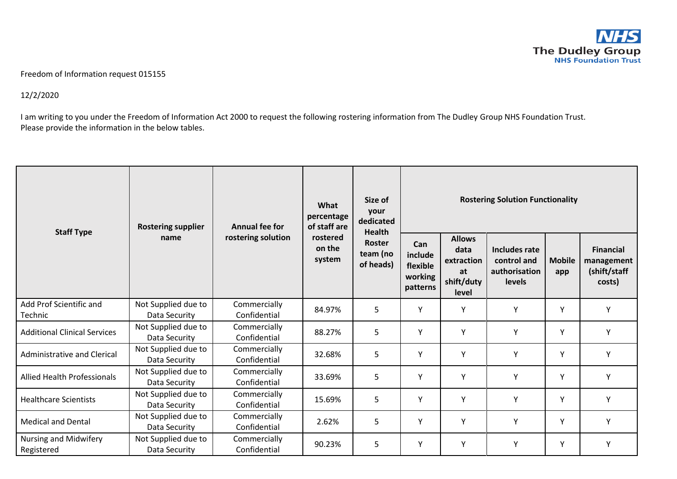

## Freedom of Information request 015155

12/2/2020

I am writing to you under the Freedom of Information Act 2000 to request the following rostering information from The Dudley Group NHS Foundation Trust. Please provide the information in the below tables.

| <b>Staff Type</b>                   | <b>Rostering supplier</b><br>name    | <b>Annual fee for</b><br>rostering solution | What<br>percentage<br>of staff are<br>rostered<br>on the<br>system | Size of<br>your<br>dedicated<br><b>Health</b><br><b>Roster</b><br>team (no<br>of heads) | <b>Rostering Solution Functionality</b>           |                                                                  |                                                                |                      |                                                          |
|-------------------------------------|--------------------------------------|---------------------------------------------|--------------------------------------------------------------------|-----------------------------------------------------------------------------------------|---------------------------------------------------|------------------------------------------------------------------|----------------------------------------------------------------|----------------------|----------------------------------------------------------|
|                                     |                                      |                                             |                                                                    |                                                                                         | Can<br>include<br>flexible<br>working<br>patterns | <b>Allows</b><br>data<br>extraction<br>at<br>shift/duty<br>level | Includes rate<br>control and<br>authorisation<br><b>levels</b> | <b>Mobile</b><br>app | <b>Financial</b><br>management<br>(shift/staff<br>costs) |
| Add Prof Scientific and<br>Technic  | Not Supplied due to<br>Data Security | Commercially<br>Confidential                | 84.97%                                                             | 5                                                                                       | Y                                                 | Y                                                                | Y                                                              | Y                    | Υ                                                        |
| <b>Additional Clinical Services</b> | Not Supplied due to<br>Data Security | Commercially<br>Confidential                | 88.27%                                                             | 5                                                                                       | Υ                                                 | Y                                                                | Υ                                                              | Υ                    | γ                                                        |
| <b>Administrative and Clerical</b>  | Not Supplied due to<br>Data Security | Commercially<br>Confidential                | 32.68%                                                             | 5                                                                                       | Y                                                 | Y                                                                | Y                                                              | Y                    | Υ                                                        |
| <b>Allied Health Professionals</b>  | Not Supplied due to<br>Data Security | Commercially<br>Confidential                | 33.69%                                                             | 5                                                                                       | Y                                                 | Y                                                                | Y                                                              | Υ                    | Y                                                        |
| <b>Healthcare Scientists</b>        | Not Supplied due to<br>Data Security | Commercially<br>Confidential                | 15.69%                                                             | 5                                                                                       | Y                                                 | Y                                                                | Y                                                              | Y                    | Υ                                                        |
| <b>Medical and Dental</b>           | Not Supplied due to<br>Data Security | Commercially<br>Confidential                | 2.62%                                                              | 5                                                                                       | Y                                                 | Y                                                                | Y                                                              | Υ                    | Y                                                        |
| Nursing and Midwifery<br>Registered | Not Supplied due to<br>Data Security | Commercially<br>Confidential                | 90.23%                                                             | 5                                                                                       | Υ                                                 | Y                                                                | Υ                                                              | Y                    | Υ                                                        |